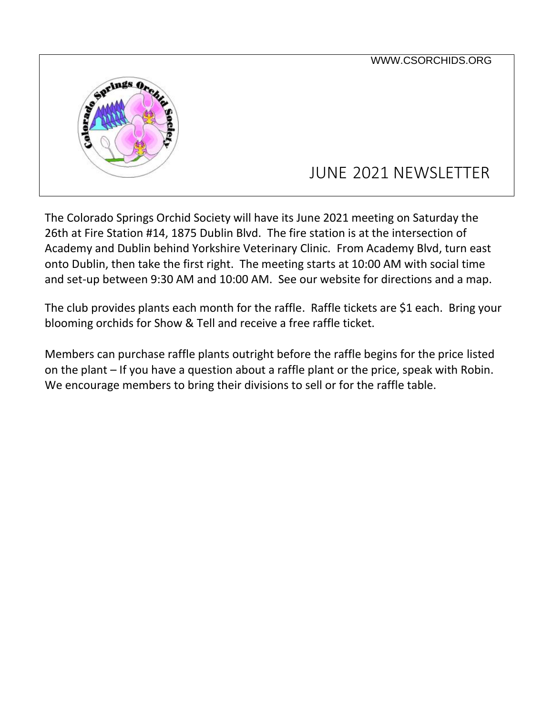

The Colorado Springs Orchid Society will have its June 2021 meeting on Saturday the 26th at Fire Station #14, 1875 Dublin Blvd. The fire station is at the intersection of Academy and Dublin behind Yorkshire Veterinary Clinic. From Academy Blvd, turn east onto Dublin, then take the first right. The meeting starts at 10:00 AM with social time and set-up between 9:30 AM and 10:00 AM. See our website for directions and a map.

The club provides plants each month for the raffle. Raffle tickets are \$1 each. Bring your blooming orchids for Show & Tell and receive a free raffle ticket.

Members can purchase raffle plants outright before the raffle begins for the price listed on the plant – If you have a question about a raffle plant or the price, speak with Robin. We encourage members to bring their divisions to sell or for the raffle table.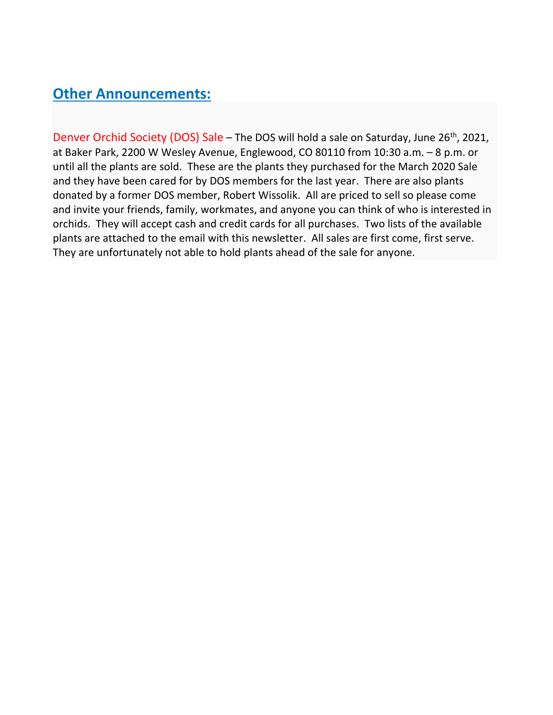## **Other Announcements:**

Denver Orchid Society (DOS) Sale – The DOS will hold a sale on Saturday, June 26<sup>th</sup>, 2021, at Baker Park, 2200 W Wesley Avenue, Englewood, CO 80110 from 10:30 a.m. – 8 p.m. or until all the plants are sold. These are the plants they purchased for the March 2020 Sale and they have been cared for by DOS members for the last year. There are also plants donated by a former DOS member, Robert Wissolik. All are priced to sell so please come and invite your friends, family, workmates, and anyone you can think of who is interested in orchids. They will accept cash and credit cards for all purchases. Two lists of the available plants are attached to the email with this newsletter. All sales are first come, first serve. They are unfortunately not able to hold plants ahead of the sale for anyone.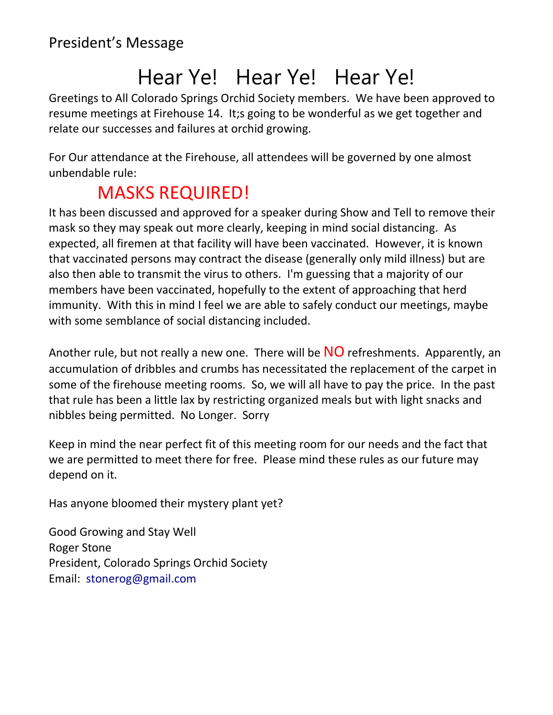## Hear Ye! Hear Ye! Hear Ye!

Greetings to All Colorado Springs Orchid Society members. We have been approved to resume meetings at Firehouse 14. It;s going to be wonderful as we get together and relate our successes and failures at orchid growing.

For Our attendance at the Firehouse, all attendees will be governed by one almost unbendable rule:

## MASKS REQUIRED!

It has been discussed and approved for a speaker during Show and Tell to remove their mask so they may speak out more clearly, keeping in mind social distancing. As expected, all firemen at that facility will have been vaccinated. However, it is known that vaccinated persons may contract the disease (generally only mild illness) but are also then able to transmit the virus to others. I'm guessing that a majority of our members have been vaccinated, hopefully to the extent of approaching that herd immunity. With this in mind I feel we are able to safely conduct our meetings, maybe with some semblance of social distancing included.

Another rule, but not really a new one. There will be  $NO$  refreshments. Apparently, an accumulation of dribbles and crumbs has necessitated the replacement of the carpet in some of the firehouse meeting rooms. So, we will all have to pay the price. In the past that rule has been a little lax by restricting organized meals but with light snacks and nibbles being permitted. No Longer. Sorry

Keep in mind the near perfect fit of this meeting room for our needs and the fact that we are permitted to meet there for free. Please mind these rules as our future may depend on it.

Has anyone bloomed their mystery plant yet?

Good Growing and Stay Well Roger Stone President, [Colorado Springs Orchid Society](http://csorchids.org/) Email: stonerog@gmail.com